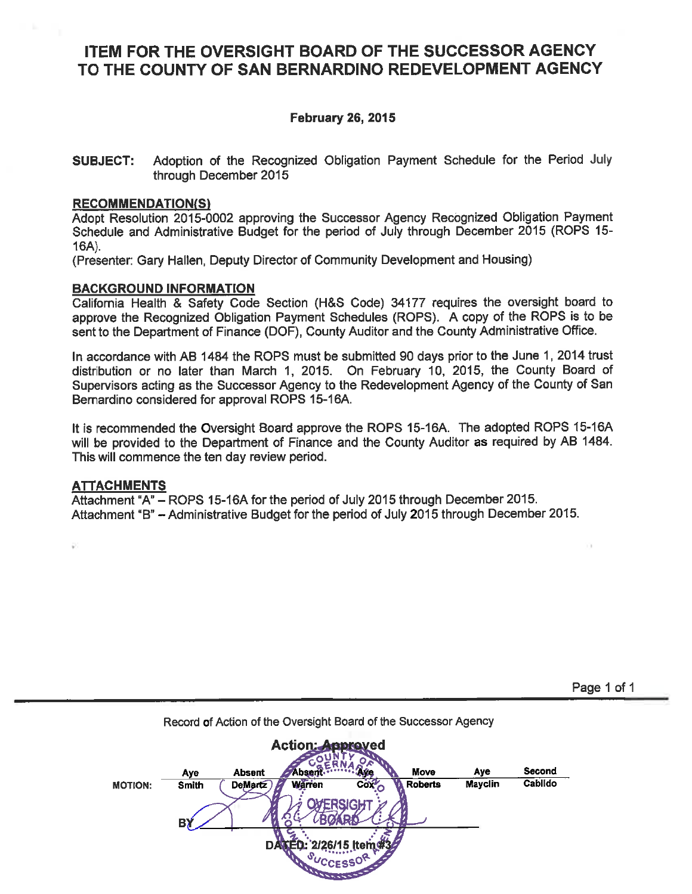# ITEM FOR THE OVERSIGHT BOARD OF THE SUCCESSOR AGENCY TO THE COUNTY OF SAN BERNARDINO REDEVELOPMENT AGENCY

# **February 26, 2015**

Adoption of the Recognized Obligation Payment Schedule for the Period July **SUBJECT:** through December 2015

#### **RECOMMENDATION(S)**

Adopt Resolution 2015-0002 approving the Successor Agency Recognized Obligation Payment Schedule and Administrative Budget for the period of July through December 2015 (ROPS 15- $16A$ ).

(Presenter: Gary Hallen, Deputy Director of Community Development and Housing)

### **BACKGROUND INFORMATION**

California Health & Safety Code Section (H&S Code) 34177 requires the oversight board to approve the Recognized Obligation Payment Schedules (ROPS). A copy of the ROPS is to be sent to the Department of Finance (DOF), County Auditor and the County Administrative Office.

In accordance with AB 1484 the ROPS must be submitted 90 days prior to the June 1, 2014 trust distribution or no later than March 1, 2015. On February 10, 2015, the County Board of Supervisors acting as the Successor Agency to the Redevelopment Agency of the County of San Bernardino considered for approval ROPS 15-16A.

It is recommended the Oversight Board approve the ROPS 15-16A. The adopted ROPS 15-16A will be provided to the Department of Finance and the County Auditor as required by AB 1484. This will commence the ten day review period.

#### **ATTACHMENTS**

Attachment "A" – ROPS 15-16A for the period of July 2015 through December 2015. Attachment "B" - Administrative Budget for the period of July 2015 through December 2015.

Page 1 of 1



Record of Action of the Oversight Board of the Successor Agency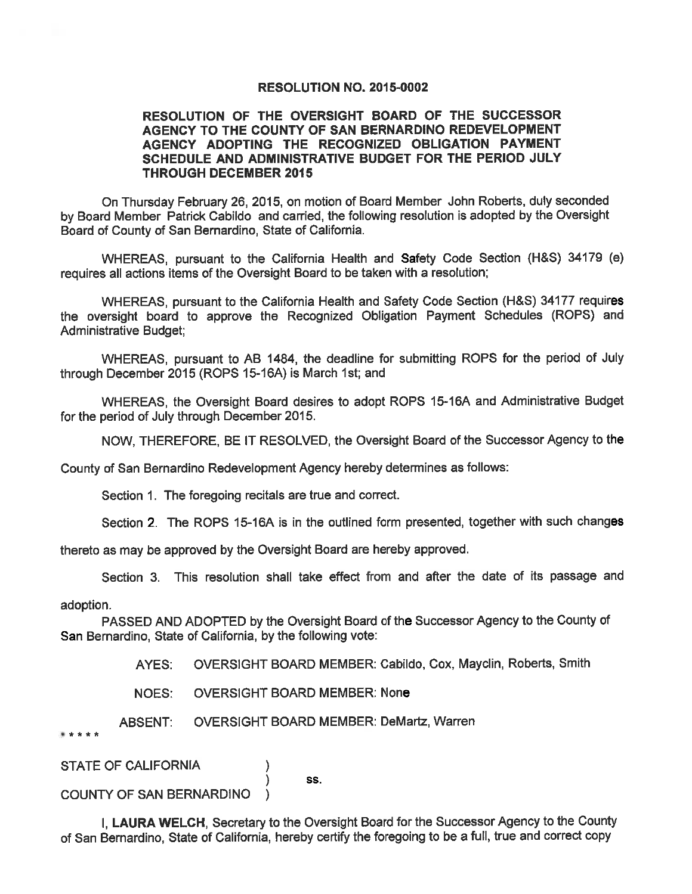#### **RESOLUTION NO. 2015-0002**

### RESOLUTION OF THE OVERSIGHT BOARD OF THE SUCCESSOR AGENCY TO THE COUNTY OF SAN BERNARDINO REDEVELOPMENT AGENCY ADOPTING THE RECOGNIZED OBLIGATION PAYMENT SCHEDULE AND ADMINISTRATIVE BUDGET FOR THE PERIOD JULY **THROUGH DECEMBER 2015**

On Thursday February 26, 2015, on motion of Board Member John Roberts, duly seconded by Board Member Patrick Cabildo and carried, the following resolution is adopted by the Oversight Board of County of San Bernardino, State of California.

WHEREAS, pursuant to the California Health and Safety Code Section (H&S) 34179 (e) requires all actions items of the Oversight Board to be taken with a resolution;

WHEREAS, pursuant to the California Health and Safety Code Section (H&S) 34177 requires the oversight board to approve the Recognized Obligation Payment Schedules (ROPS) and **Administrative Budget;** 

WHEREAS, pursuant to AB 1484, the deadline for submitting ROPS for the period of July through December 2015 (ROPS 15-16A) is March 1st; and

WHEREAS, the Oversight Board desires to adopt ROPS 15-16A and Administrative Budget for the period of July through December 2015.

NOW, THEREFORE, BE IT RESOLVED, the Oversight Board of the Successor Agency to the

County of San Bernardino Redevelopment Agency hereby determines as follows:

Section 1. The foregoing recitals are true and correct.

Section 2. The ROPS 15-16A is in the outlined form presented, together with such changes

thereto as may be approved by the Oversight Board are hereby approved.

Section 3. This resolution shall take effect from and after the date of its passage and

adoption.

PASSED AND ADOPTED by the Oversight Board of the Successor Agency to the County of San Bernardino, State of California, by the following vote:

> AYES: OVERSIGHT BOARD MEMBER: Cabildo, Cox, Mayclin, Roberts, Smith

**NOES: OVERSIGHT BOARD MEMBER: None** 

**ABSENT: OVERSIGHT BOARD MEMBER: DeMartz, Warren** 

\*\*\*\*\*

**STATE OF CALIFORNIA** 

SS.

**COUNTY OF SAN BERNARDINO** 

I, LAURA WELCH, Secretary to the Oversight Board for the Successor Agency to the County of San Bernardino, State of California, hereby certify the foregoing to be a full, true and correct copy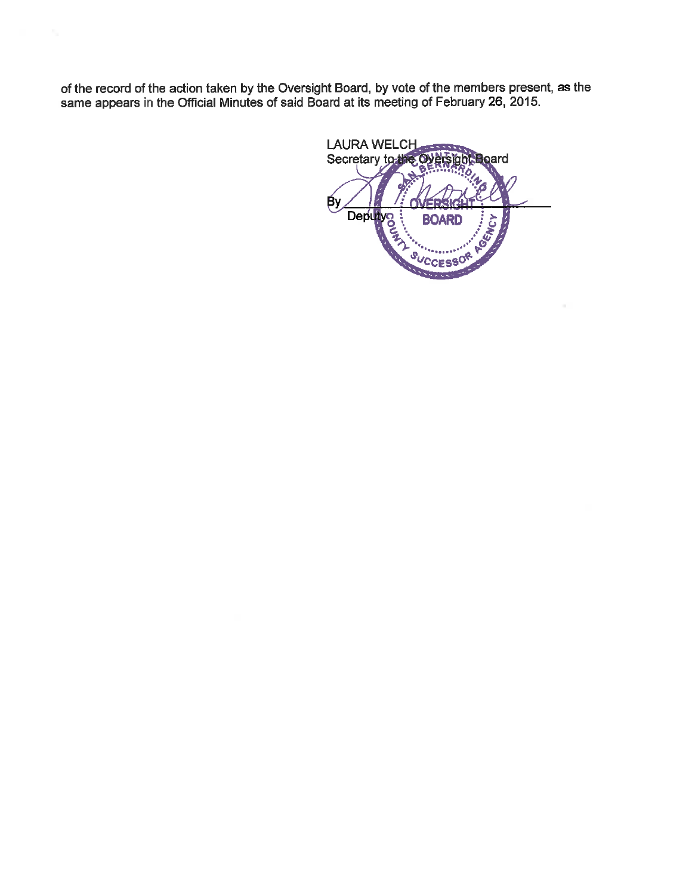of the record of the action taken by the Oversight Board, by vote of the members present, as the same appears in the Official Minutes of said Board at its meeting of February 26, 2015.

LAURA WELCH Secretary to the oard Deputy<br>Capital Capital Capital Capital Capital Capital Capital Capital Capital Capital Capital Capital Capital Capital Capital Capital Capital Capital Capital Capital Capital Capital Capital Capital Capital Capital Capital **Ву BOARD** ΥÇΥ Q,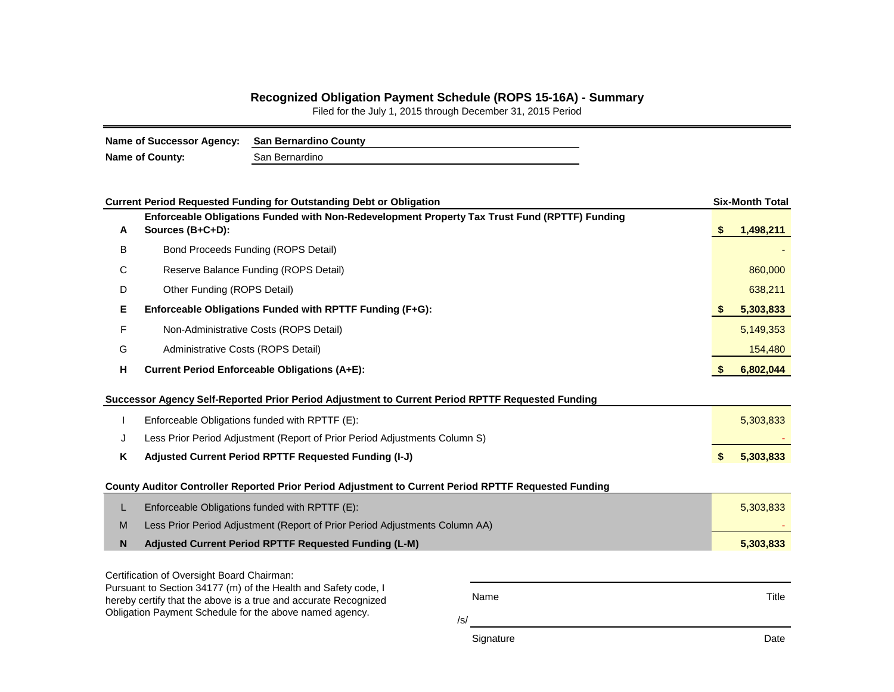# **Recognized Obligation Payment Schedule (ROPS 15-16A) - Summary**

Filed for the July 1, 2015 through December 31, 2015 Period

| Name of Successor Agency: San Bernardino County |                |
|-------------------------------------------------|----------------|
| <b>Name of County:</b>                          | San Bernardino |

| <b>Current Period Requested Funding for Outstanding Debt or Obligation</b>       |                                                                                                                            |     |     |           |  |  |  |
|----------------------------------------------------------------------------------|----------------------------------------------------------------------------------------------------------------------------|-----|-----|-----------|--|--|--|
| A                                                                                | Enforceable Obligations Funded with Non-Redevelopment Property Tax Trust Fund (RPTTF) Funding<br>Sources (B+C+D):          |     | S   | 1,498,211 |  |  |  |
| B                                                                                | Bond Proceeds Funding (ROPS Detail)                                                                                        |     |     |           |  |  |  |
| C                                                                                | Reserve Balance Funding (ROPS Detail)                                                                                      |     |     |           |  |  |  |
| D                                                                                | Other Funding (ROPS Detail)                                                                                                |     |     |           |  |  |  |
| Е                                                                                | Enforceable Obligations Funded with RPTTF Funding (F+G):                                                                   |     | \$. | 5,303,833 |  |  |  |
| F                                                                                | Non-Administrative Costs (ROPS Detail)                                                                                     |     |     | 5,149,353 |  |  |  |
| G                                                                                | Administrative Costs (ROPS Detail)                                                                                         |     |     |           |  |  |  |
| н                                                                                | <b>Current Period Enforceable Obligations (A+E):</b>                                                                       |     |     |           |  |  |  |
|                                                                                  | Successor Agency Self-Reported Prior Period Adjustment to Current Period RPTTF Requested Funding                           |     |     |           |  |  |  |
|                                                                                  | Enforceable Obligations funded with RPTTF (E):                                                                             |     |     |           |  |  |  |
| Less Prior Period Adjustment (Report of Prior Period Adjustments Column S)<br>J  |                                                                                                                            |     |     |           |  |  |  |
| Κ<br>Adjusted Current Period RPTTF Requested Funding (I-J)                       |                                                                                                                            |     |     |           |  |  |  |
|                                                                                  | County Auditor Controller Reported Prior Period Adjustment to Current Period RPTTF Requested Funding                       |     |     |           |  |  |  |
| L                                                                                | Enforceable Obligations funded with RPTTF (E):                                                                             |     |     | 5,303,833 |  |  |  |
| Less Prior Period Adjustment (Report of Prior Period Adjustments Column AA)<br>M |                                                                                                                            |     |     |           |  |  |  |
| N<br>Adjusted Current Period RPTTF Requested Funding (L-M)                       |                                                                                                                            |     |     |           |  |  |  |
|                                                                                  | Certification of Oversight Board Chairman:                                                                                 |     |     |           |  |  |  |
| Pursuant to Section 34177 (m) of the Health and Safety code, I<br>Name           |                                                                                                                            |     |     |           |  |  |  |
|                                                                                  | hereby certify that the above is a true and accurate Recognized<br>Obligation Payment Schedule for the above named agency. |     |     | Title     |  |  |  |
|                                                                                  |                                                                                                                            | /s/ |     |           |  |  |  |
| Signature                                                                        |                                                                                                                            |     |     |           |  |  |  |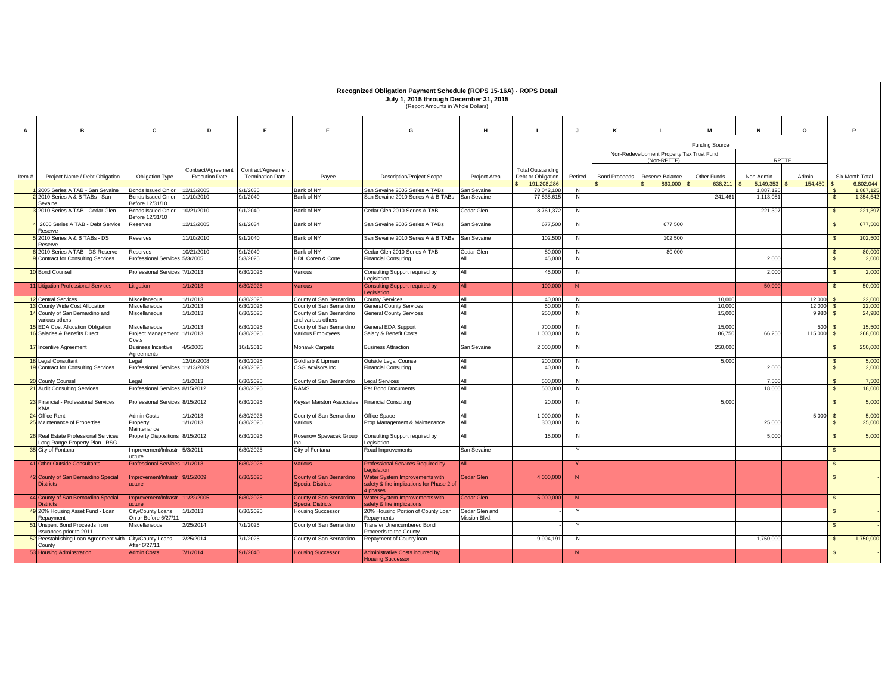|          |                                                                        |                                          |                          |                         |                                                      | Recognized Obligation Payment Schedule (ROPS 15-16A) - ROPS Detail<br>July 1, 2015 through December 31, 2015<br>(Report Amounts in Whole Dollars) |                                 |                                   |                                |                      |                                                          |                        |                        |                  |                      |                              |
|----------|------------------------------------------------------------------------|------------------------------------------|--------------------------|-------------------------|------------------------------------------------------|---------------------------------------------------------------------------------------------------------------------------------------------------|---------------------------------|-----------------------------------|--------------------------------|----------------------|----------------------------------------------------------|------------------------|------------------------|------------------|----------------------|------------------------------|
|          |                                                                        |                                          |                          |                         |                                                      |                                                                                                                                                   |                                 |                                   |                                |                      |                                                          |                        |                        |                  |                      |                              |
| A        | B                                                                      | c                                        | D                        | Е.                      | E                                                    | G                                                                                                                                                 | H                               |                                   | J                              | К                    |                                                          | м                      | N                      | $\circ$          |                      | P                            |
|          |                                                                        |                                          |                          |                         |                                                      |                                                                                                                                                   |                                 |                                   |                                |                      |                                                          | <b>Funding Source</b>  |                        |                  |                      |                              |
|          |                                                                        |                                          |                          |                         |                                                      |                                                                                                                                                   |                                 |                                   |                                |                      | Non-Redevelopment Property Tax Trust Fund<br>(Non-RPTTF) |                        |                        | <b>RPTTF</b>     |                      |                              |
|          |                                                                        |                                          | Contract/Agreement       | Contract/Agreement      |                                                      |                                                                                                                                                   |                                 | <b>Total Outstanding</b>          |                                |                      |                                                          |                        |                        |                  |                      |                              |
| Item $#$ | Project Name / Debt Obligation                                         | Obligation Type                          | <b>Execution Date</b>    | <b>Termination Date</b> | Pavee                                                | <b>Description/Project Scope</b>                                                                                                                  | Project Area                    | Debt or Obligation<br>191,208,286 | Retired                        | <b>Bond Proceeds</b> | Reserve Balance                                          | Other Funds<br>638.211 | Non-Admin<br>5.149.353 | Admin<br>154,480 |                      | Six-Month Total<br>6.802.044 |
|          | 2005 Series A TAB - San Sevaine                                        | Bonds Issued On or                       | 12/13/2005               | /1/2035                 | Bank of NY                                           | San Sevaine 2005 Series A TABs                                                                                                                    | San Sevaine                     | 78,042,108                        | N                              |                      | 860,000                                                  |                        | 1,887,125              |                  |                      | 1,887,125                    |
|          | 2010 Series A & B TABs - San                                           | Bonds Issued On or                       | 1/10/2010                | 9/1/2040                | Bank of NY                                           | San Sevaine 2010 Series A & B TABs                                                                                                                | San Sevaine                     | 77,835,61                         | N                              |                      |                                                          | 241,461                | 1,113,081              |                  | $\sqrt{3}$           | 1,354,542                    |
|          | Sevaine<br>2010 Series A TAB - Cedar Glen                              | Before 12/31/10<br>Bonds Issued On or    | 10/21/2010               | 9/1/2040                | Bank of NY                                           | Cedar Glen 2010 Series A TAB                                                                                                                      | Cedar Glen                      | 8,761,37                          | N                              |                      |                                                          |                        | 221.397                |                  | $\mathbf{\hat{s}}$   | 221,397                      |
|          | 2005 Series A TAB - Debt Service                                       | Before 12/31/10<br>Reserves              | 12/13/2005               | 9/1/2034                | Bank of NY                                           | San Sevaine 2005 Series A TABs                                                                                                                    | San Sevaine                     | 677,500                           | N                              |                      | 677,500                                                  |                        |                        |                  | $\mathbf{s}$         | 677,500                      |
|          | Reserve<br>2010 Series A & B TABs - DS                                 | Reserves                                 | 11/10/2010               | 9/1/2040                | Bank of NY                                           | San Sevaine 2010 Series A & B TABs                                                                                                                | San Sevaine                     | 102,500                           | ${\sf N}$                      |                      | 102,500                                                  |                        |                        |                  | $\mathfrak{s}$       | 102,500                      |
|          | Reserve                                                                |                                          |                          |                         | Bank of NY                                           |                                                                                                                                                   |                                 |                                   |                                |                      |                                                          |                        |                        |                  |                      |                              |
|          | 8 2010 Series A TAB - DS Reserve<br>Contract for Consulting Services   | Reserves<br><b>Professional Services</b> | 10/21/2010<br>5/3/2005   | 9/1/2040<br>5/3/2025    | HDL Coren & Cone                                     | Cedar Glen 2010 Series A TAB<br><b>Financial Consulting</b>                                                                                       | Cedar Glen<br>All               | 80,000<br>45,000                  | N<br>N                         |                      | 80,000                                                   |                        | 2,000                  |                  | $\mathbf{s}$<br>- \$ | 80,000<br>2,000              |
|          | 10 Bond Counsel                                                        | <b>Professional Services</b>             | 7/1/2013                 | 6/30/2025               | Various                                              | Consulting Support required by                                                                                                                    | All                             | 45,000                            | N                              |                      |                                                          |                        | 2,000                  |                  | $\mathbf{s}$         | 2,000                        |
|          |                                                                        |                                          |                          |                         |                                                      | Legislation                                                                                                                                       |                                 |                                   |                                |                      |                                                          |                        |                        |                  |                      |                              |
|          | 11 Litigation Professional Services                                    | Litigation                               | 1/1/2013                 | 6/30/2025               | <b>Various</b>                                       | <b>Consulting Support required by</b><br>egislation                                                                                               | All                             | 100,000                           | N                              |                      |                                                          |                        | 50,000                 |                  | $\sqrt{3}$           | 50,000                       |
|          | 12 Central Services                                                    | Miscellaneous                            | 1/1/2013                 | 6/30/2025               | County of San Bernardino                             | <b>County Services</b>                                                                                                                            | All                             | 40,000                            | N                              |                      |                                                          | 10,000                 |                        | 12,000           |                      | 22,000                       |
|          | 13 County Wide Cost Allocation<br>14 County of San Bernardino and      | Miscellaneous<br>Miscellaneous           | 1/1/2013<br>1/1/2013     | 3/0/2025<br>3/30/2025   | County of San Bernardino<br>County of San Bernardino | <b>General County Services</b><br><b>General County Services</b>                                                                                  | All<br>All                      | 50,000<br>250,000                 | N<br>N                         |                      |                                                          | 10.000<br>15,000       |                        | 12,000<br>9,980  | - \$                 | 22,000<br>24,980             |
|          | various others                                                         |                                          |                          |                         | and various others                                   |                                                                                                                                                   |                                 |                                   |                                |                      |                                                          |                        |                        |                  |                      |                              |
|          | <b>5</b> EDA Cost Allocation Obligation                                | Miscellaneous                            | 1/1/2013                 | /30/2025                | County of San Bernardino                             | General EDA Support                                                                                                                               | All<br>All                      | 700,00                            | $\mathsf{N}$                   |                      |                                                          | 15,000                 |                        | 500              |                      | 15,500                       |
|          | 16 Salaries & Benefits Direct                                          | Project Management<br>Costs              | 1/1/2013                 | 6/30/2025               | Various Employees                                    | Salary & Benefit Costs                                                                                                                            |                                 | 1,000,00                          | N                              |                      |                                                          | 86,750                 | 66,250                 | 115,000          | \$s                  | 268,000                      |
|          | 17 Incentive Agreement                                                 | <b>Business Incentive</b><br>Agreements  | 4/5/2005                 | 10/1/2016               | Mohawk Carpets                                       | <b>Business Attraction</b>                                                                                                                        | San Sevaine                     | 2,000,000                         | N                              |                      |                                                          | 250,000                |                        |                  | - \$                 | 250,000                      |
|          | 18 Legal Consultant<br>19 Contract for Consulting Services             | Legal                                    | 12/16/2008<br>11/13/2009 | 6/30/2025               | Goldfarb & Lipman<br>CSG Advisors Inc.               | Outside Legal Counsel                                                                                                                             | All<br>All                      | 200,000                           | N                              |                      |                                                          | 5.000                  | 2.000                  |                  | - \$                 | 5,000                        |
|          |                                                                        | <b>Professional Services</b>             |                          | 3/30/2025               |                                                      | Financial Consulting                                                                                                                              |                                 | 40,000                            | N                              |                      |                                                          |                        |                        |                  | - \$                 | 2,000                        |
|          | 20 County Counsel<br>21 Audit Consulting Services                      | Legal<br>Professional Services           | 1/1/2013<br>8/15/2012    | 6/30/2025<br>3/30/2025  | County of San Bernardino<br>RAMS                     | <b>Legal Services</b><br>Per Bond Documents                                                                                                       | All<br>All                      | 500,000<br>500,000                | $\overline{N}$<br>$\mathsf{N}$ |                      |                                                          |                        | 7.500<br>18,000        |                  | $\mathbf{s}$<br>\$s  | 7,500<br>18,000              |
|          | 23 Financial - Professional Services                                   | Professional Services 8/15/2012          |                          | 6/30/2025               |                                                      | <b>Financial Consulting</b>                                                                                                                       | All                             | 20,000                            |                                |                      |                                                          | 5,000                  |                        |                  | $\mathbf{\hat{s}}$   | 5,000                        |
|          | KMA                                                                    |                                          |                          |                         | Keyser Marston Associates                            |                                                                                                                                                   |                                 |                                   | N                              |                      |                                                          |                        |                        |                  |                      |                              |
|          | 24 Office Rent                                                         | <b>Admin Costs</b>                       | 1/1/2013                 | 6/30/2025               | County of San Bernardino                             | Office Space                                                                                                                                      | All                             | 1,000,000                         | $\overline{N}$                 |                      |                                                          |                        |                        | 5.000            |                      | 5,000                        |
|          | 25 Maintenance of Properties                                           | <sup>2</sup> roperty<br>Maintenance      | 1/1/2013                 | 3/30/2025               | Various                                              | Prop Management & Maintenance                                                                                                                     | All                             | 300,000                           | N                              |                      |                                                          |                        | 25,000                 |                  | - \$                 | 25,000                       |
|          | 26 Real Estate Professional Services<br>Long Range Property Plan - RSG | roperty Dispositions 8/15/2012           |                          | 3/30/2025               | Rosenow Spevacek Group                               | Consulting Support required by<br>egislation                                                                                                      | All                             | 15,000                            | N                              |                      |                                                          |                        | 5,000                  |                  | \$s                  | 5,000                        |
|          | 35 City of Fontana                                                     | Improvement/Infrastr<br>ucture           | 5/3/2011                 | 6/30/2025               | City of Fontana                                      | Road Improvements                                                                                                                                 | San Sevaine                     |                                   | Y                              |                      |                                                          |                        |                        |                  | $\mathbf{s}$         |                              |
|          | 41 Other Outside Consultants                                           | Professional Service                     | /1/2013                  | 6/30/2025               | Various                                              | Professional Services Required by<br>egislation                                                                                                   | All                             |                                   |                                |                      |                                                          |                        |                        |                  | $\mathbb{S}$         |                              |
|          | 42 County of San Bernardino Special<br><b>Districts</b>                | Improvement/Infrastr<br>ucture           | 9/15/2009                | 6/30/2025               | County of San Bernardino<br><b>Special Districts</b> | Vater System Improvements with<br>safety & fire implications for Phase 2 of<br>phases.                                                            | <b>Cedar Glen</b>               | 4,000,000                         | N                              |                      |                                                          |                        |                        |                  | $\mathbf{s}$         |                              |
|          | 44 County of San Bernardino Special<br><b>Districts</b>                | mprovement/Infrastr<br>cture             | 11/22/2005               | 6/30/2025               | County of San Bernardino<br>pecial Districts         | Vater System Improvements with<br>afety & fire implications                                                                                       | <b>Cedar Glen</b>               | 5,000,00                          | N                              |                      |                                                          |                        |                        |                  | $\mathbf{s}$         |                              |
|          | 49 20% Housing Asset Fund - Loan<br>Repaymen                           | City/County Loans<br>On or Before 6/27/1 | 1/1/2013                 | 6/30/2025               | <b>Housing Successor</b>                             | 20% Housing Portion of County Loan<br>Repayments                                                                                                  | Cedar Glen and<br>Aission Blvd. |                                   |                                |                      |                                                          |                        |                        |                  | $\mathbf{s}$         |                              |
|          | 51 Unspent Bond Proceeds from<br>ssuances prior to 2011                | Miscellaneous                            | 2/25/2014                | /1/2025                 | County of San Bernardino                             | ransfer Unencumbered Bond<br>Proceeds to the County                                                                                               |                                 |                                   | Y                              |                      |                                                          |                        |                        |                  | $\mathbf{s}$         |                              |
|          | 52 Reestablishing Loan Agreement with<br>County                        | City/County Loans<br>After 6/27/11       | 2/25/2014                | 7/1/2025                | County of San Bernardino                             | Repayment of County loar                                                                                                                          |                                 | 9,904,191                         | N                              |                      |                                                          |                        | 1,750,000              |                  | $\mathbf{\hat{s}}$   | 1,750,000                    |
|          | 53 Housing Adminstration                                               | <b>Admin Costs</b>                       | 7/1/2014                 | 9/1/2040                | <b>Housing Successor</b>                             | <b>Administrative Costs incurred by</b><br><b>Housing Successor</b>                                                                               |                                 |                                   | N                              |                      |                                                          |                        |                        |                  | $\mathbf{s}$         |                              |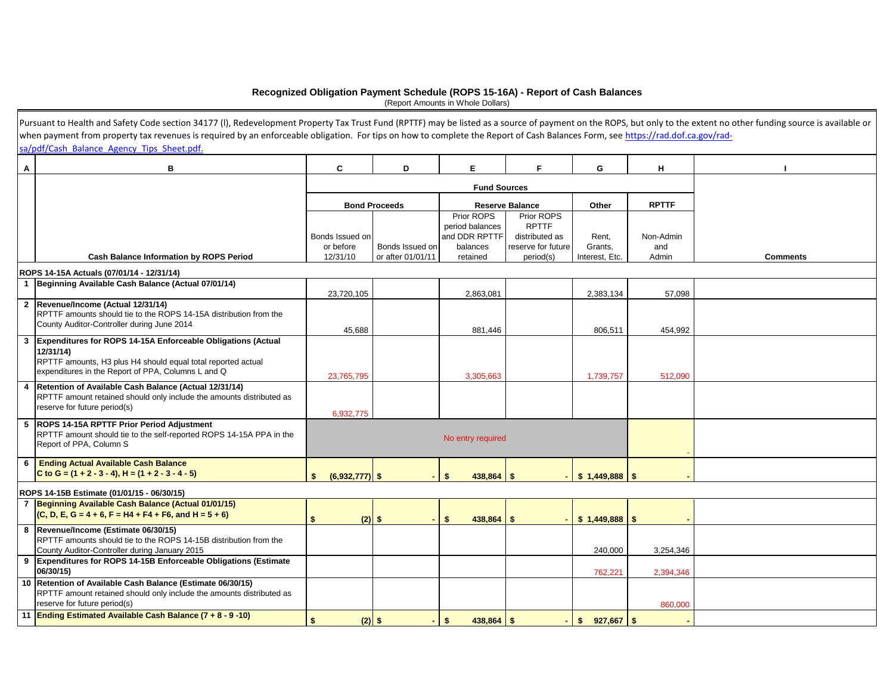#### **Recognized Obligation Payment Schedule (ROPS 15-16A) - Report of Cash Balances**

(Report Amounts in Whole Dollars)

|   | Pursuant to Health and Safety Code section 34177 (I), Redevelopment Property Tax Trust Fund (RPTTF) may be listed as a source of payment on the ROPS, but only to the extent no other funding source is available or |                              |                      |                              |                                      |                  |                  |                 |
|---|----------------------------------------------------------------------------------------------------------------------------------------------------------------------------------------------------------------------|------------------------------|----------------------|------------------------------|--------------------------------------|------------------|------------------|-----------------|
|   | when payment from property tax revenues is required by an enforceable obligation. For tips on how to complete the Report of Cash Balances Form, see https://rad.dof.ca.gov/rad-                                      |                              |                      |                              |                                      |                  |                  |                 |
|   | sa/pdf/Cash Balance Agency Tips Sheet.pdf.                                                                                                                                                                           |                              |                      |                              |                                      |                  |                  |                 |
| Α | в                                                                                                                                                                                                                    | C                            | D                    | E.                           | F                                    | G                | н                |                 |
|   |                                                                                                                                                                                                                      |                              |                      |                              |                                      |                  |                  |                 |
|   |                                                                                                                                                                                                                      |                              |                      |                              |                                      |                  |                  |                 |
|   |                                                                                                                                                                                                                      |                              | <b>Bond Proceeds</b> |                              | <b>Reserve Balance</b>               | Other            | <b>RPTTF</b>     |                 |
|   |                                                                                                                                                                                                                      |                              |                      | Prior ROPS                   | Prior ROPS                           |                  |                  |                 |
|   |                                                                                                                                                                                                                      |                              |                      | period balances              | <b>RPTTF</b>                         |                  |                  |                 |
|   |                                                                                                                                                                                                                      | Bonds Issued on<br>or before | Bonds Issued on      | and DDR RPTTF<br>balances    | distributed as<br>reserve for future | Rent.<br>Grants, | Non-Admin<br>and |                 |
|   | <b>Cash Balance Information by ROPS Period</b>                                                                                                                                                                       | 12/31/10                     | or after 01/01/11    | retained                     | period(s)                            | Interest, Etc.   | Admin            | <b>Comments</b> |
|   |                                                                                                                                                                                                                      |                              |                      |                              |                                      |                  |                  |                 |
|   | ROPS 14-15A Actuals (07/01/14 - 12/31/14)<br>1 Beginning Available Cash Balance (Actual 07/01/14)                                                                                                                    |                              |                      |                              |                                      |                  |                  |                 |
|   |                                                                                                                                                                                                                      | 23,720,105                   |                      | 2,863,081                    |                                      | 2,383,134        | 57,098           |                 |
|   | 2 Revenue/Income (Actual 12/31/14)                                                                                                                                                                                   |                              |                      |                              |                                      |                  |                  |                 |
|   | RPTTF amounts should tie to the ROPS 14-15A distribution from the                                                                                                                                                    |                              |                      |                              |                                      |                  |                  |                 |
|   | County Auditor-Controller during June 2014                                                                                                                                                                           | 45,688                       |                      | 881,446                      |                                      | 806,511          | 454,992          |                 |
| 3 | Expenditures for ROPS 14-15A Enforceable Obligations (Actual                                                                                                                                                         |                              |                      |                              |                                      |                  |                  |                 |
|   | 12/31/14)                                                                                                                                                                                                            |                              |                      |                              |                                      |                  |                  |                 |
|   | RPTTF amounts, H3 plus H4 should equal total reported actual                                                                                                                                                         |                              |                      |                              |                                      |                  |                  |                 |
|   | expenditures in the Report of PPA, Columns L and Q                                                                                                                                                                   | 23,765,795                   |                      | 3,305,663                    |                                      | 1,739,757        | 512,090          |                 |
| 4 | Retention of Available Cash Balance (Actual 12/31/14)                                                                                                                                                                |                              |                      |                              |                                      |                  |                  |                 |
|   | RPTTF amount retained should only include the amounts distributed as<br>reserve for future period(s)                                                                                                                 |                              |                      |                              |                                      |                  |                  |                 |
|   |                                                                                                                                                                                                                      | 6,932,775                    |                      |                              |                                      |                  |                  |                 |
| 5 | ROPS 14-15A RPTTF Prior Period Adjustment                                                                                                                                                                            |                              |                      |                              |                                      |                  |                  |                 |
|   | RPTTF amount should tie to the self-reported ROPS 14-15A PPA in the<br>Report of PPA, Column S                                                                                                                       |                              |                      | No entry required            |                                      |                  |                  |                 |
|   |                                                                                                                                                                                                                      |                              |                      |                              |                                      |                  |                  |                 |
| 6 | <b>Ending Actual Available Cash Balance</b>                                                                                                                                                                          |                              |                      |                              |                                      |                  |                  |                 |
|   | C to G = $(1 + 2 - 3 - 4)$ , H = $(1 + 2 - 3 - 4 - 5)$                                                                                                                                                               | $(6,932,777)$ \$<br>\$       |                      | $438.864$ \$<br>\$           |                                      |                  |                  |                 |
|   | ROPS 14-15B Estimate (01/01/15 - 06/30/15)                                                                                                                                                                           |                              |                      |                              |                                      |                  |                  |                 |
|   | 7 Beginning Available Cash Balance (Actual 01/01/15)                                                                                                                                                                 |                              |                      |                              |                                      |                  |                  |                 |
|   | $(C, D, E, G = 4 + 6, F = H4 + F4 + F6, and H = 5 + 6)$                                                                                                                                                              | $(2)$ \$<br>\$               |                      | $438,864$ \$<br>s.           |                                      | \$1,449,888      | <b>S</b>         |                 |
| 8 | Revenue/Income (Estimate 06/30/15)                                                                                                                                                                                   |                              |                      |                              |                                      |                  |                  |                 |
|   | RPTTF amounts should tie to the ROPS 14-15B distribution from the                                                                                                                                                    |                              |                      |                              |                                      |                  |                  |                 |
|   | County Auditor-Controller during January 2015                                                                                                                                                                        |                              |                      |                              |                                      | 240,000          | 3,254,346        |                 |
|   | 9 Expenditures for ROPS 14-15B Enforceable Obligations (Estimate<br>06/30/15)                                                                                                                                        |                              |                      |                              |                                      | 762,221          | 2,394,346        |                 |
|   | 10 Retention of Available Cash Balance (Estimate 06/30/15)                                                                                                                                                           |                              |                      |                              |                                      |                  |                  |                 |
|   | RPTTF amount retained should only include the amounts distributed as                                                                                                                                                 |                              |                      |                              |                                      |                  |                  |                 |
|   | reserve for future period(s)                                                                                                                                                                                         |                              |                      |                              |                                      |                  | 860,000          |                 |
|   | 11 Ending Estimated Available Cash Balance (7 + 8 - 9 -10)                                                                                                                                                           | \$<br>$(2)$ \$               |                      | $438,864$ \$<br>$\mathbf{s}$ |                                      |                  |                  |                 |
|   |                                                                                                                                                                                                                      |                              |                      |                              |                                      |                  |                  |                 |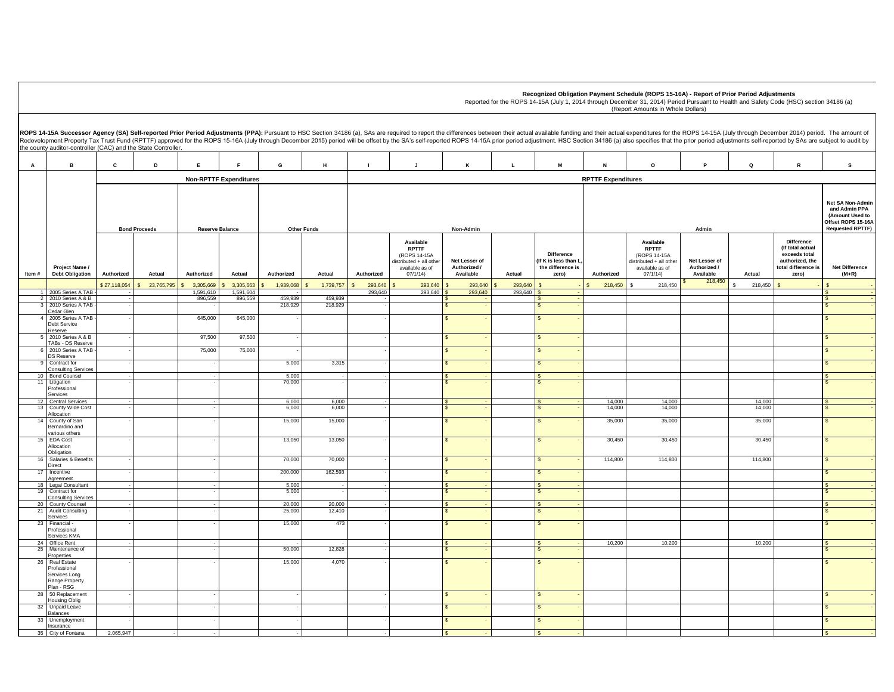**Recognized Obligation Payment Schedule (ROPS 15-16A) - Report of Prior Period Adjustments**

**A B C D E F G H I J K L M N O P Q R S Net SA Non-Admi and Admin PPA (Amount Used to Offset ROPS 15-16A Requested RPTTF) Authorized Actual Authorized Actual Authorized Actual Authorized Available RPTTF**  (ROPS 14-15A distributed + all other available as of 07/1/14)  **Net Lesser of Authorized / Available Actual Difference (If K is less than L, the difference is zero) Authorized Available RPTTF**  (ROPS 14-15A distributed + all other available as of 07/1/14)  **Net Lesser of Authorized / Available Actual Difference (If total actual exceeds total authorized, the total difference is zero) Net Difference (M+R)**  \$27,118,054 \$ 23,765,795 \$ 3,305,669 \$ 3,305,663 \$ 1,939,068 \$ 1,739,757 \$ 293,640 \$ 293,640 \$ 293,640 \$ 293,640 \$ - \$ 218,450 \$ 218,450 218.4 218,450 2005 Series A TAB 2 2010 Series A & B - 1,591,610 1,591,604 - 1 293,640 293,640 293,64<mark>0 293,640 293,640 293,640 - 293,640 - 293,640 - 293,640 - 293,640 - </mark> 205 - 205 - 205 - 205 - 205 - 205 - 205 - 205 - 205 - 205 - 205 - 205 - 205 - 205 - 205 - 205 - 205 - 2 3 2010 Series A TAB -- Handa Belgis 896,559 896,559 459,939 - Andrea Belgis - Samuel Samuel Samuel Samuel Samuel Samuel Samuel Samuel Samuel Samuel Samuel Samuel Samuel Samuel Samuel Samuel Samuel Samuel Samuel Samuel Samuel Samuel Samuel Sam Cedar Glen - - 218,929 218,929 - \$ - \$ - \$ - 2005 Series A TAB Debt Service Reserve - 645,000 645,000 - - \$ - \$ - \$ - 5 2010 Series A & B TABs - DS Reserve - 97,500 97,500 - - \$ - \$ - \$ - 2010 Series A TAB DS Reserve - The contract of  $75,000$  in the set of  $\sim$  in the set of  $\sim$  in the set of  $\sim$  in the set of  $\sim$  in the set of  $\sim$  in the set of  $\sim$  in the set of  $\sim$  in the set of  $\sim$  in the set of  $\sim$  in the set of  $\sim$  in t 9 Contract for Consulting Services<br>10 Bond Counsel - - 5,000 3,315 - \$ - \$ - \$ - 10 Bond Counsel - - 5,000 - - \$ - \$ - \$ - 11 Litigation Professional Services - - 70,000 - - \$ - \$ - \$ - 12 | Central Services | - | - | - | - | 6,000 | - 6,000 | - | - | S - | - | S - | 14,000 | 14,000 | | 14,000 | S - 13 County Wide Cost Allocation - | - | - | 6,000 | 6,000 | - | | |\$ - | |\$ - | 14,000 | 14,000 | 14,000 | 14,000 | | 14,000 | | | | | | | | | 14 County of San Bernardino and various others - 1 - 1 - 15,000 15,000 - 1 - 15,000 - 15,000 - 1 - 1 - 1 - 1 - 1 - 35,000 35,000 35,000 - 35,000 - 1 - 35,000 15 EDA Cost Allocation **Obligation** - | - | - | 13,050 | 13,050 | - | | |\$ - |\$ - | 30,450 | 30,450 | 30,450 | 30,450 | 30,450 | | 30,450 | | | | 16 Salaries & Benefits Direct - - 70,000 70,000 - \$ - \$ - 114,800 114,800 114,800 \$ - **Incentive** Agreement - - 200,000 162,593 - \$ - \$ - \$ - 18 Legal Consultant - - 5,000 - - \$ - \$ - \$ - 19 Contract for Consulting Service<br>20 County Counsel - and the set of  $\sim$  5,000 and -  $\mid$  -  $\mid$  s -  $\mid$  s -  $\mid$  s -  $\mid$  s -  $\mid$  s -  $\mid$  s -  $\mid$  s -  $\mid$  s -  $\mid$ 20 County Counsel | - | | - | 20,000 20,000 - | S - | S - | | | | | | | S - | 21 Audit Consulting Services  $-$  25,000  $12,410$   $1$   $1$   $1$   $1$   $1$   $1$   $1$   $1$   $1$   $1$  23 Financial - Professional Services KMA - - 15,000 473 - \$ - \$ - \$ - 24 Office Rent | - | - | - | - | - | - | - | S - | 10,200 | 10,200 | 10,200 | S - 25 Maintenance of Properties - - 50,000 12,828 - \$ - \$ - \$ - 26 Real Estate Professional Services Long Range Property Plan - RSG - - 15,000 4,070 - \$ - \$ - \$ - 28 50 Replacement Housing Oblig - - - - \$ - \$ - \$ - 32 Unpaid Leave Balances - - - - \$ - \$ - \$ - 33 Unemployment Insurance - - - - \$ - \$ - \$ - 35 City of Fontana 2,065,947 - - - - \$ - \$ - \$ - ROPS 14-15A Successor Agency (SA) Self-reported Prior Period Adjustments (PPA): Pursuant to HSC Section 34186 (a), SAs are required to report the differences between their actual available funding and their actual expendit Redevelopment Property Tax Trust Fund (RPTTF) approved for the ROPS 15-16A (July through December 2015) period will be offset by the SA's self-reported ROPS 14-15A prior period adjustment. HSC Section 34186 (a) also specif the county auditor-controller (CAC) and the State Controller. **Item # Project Name / Debt Obligation Non-RPTTF Expenditures Bond Proceeds Reserve Balance and Other Funds <b>Conduct Adminity Conducts and Adminity Conducts and Adminity Conducts and Adminity Adminity Adminity Adminity Adminity Adminity Adminity Adminity Adminity Adminity Adminity RPTTF Expenditures**

Reported for the ROPS 14-15A (July 1, 2014 through December 31, 2014) Period Pursuant to Health and Safety Code (HSC) section 34186 (a) (Report Amounts in Whole Dollars)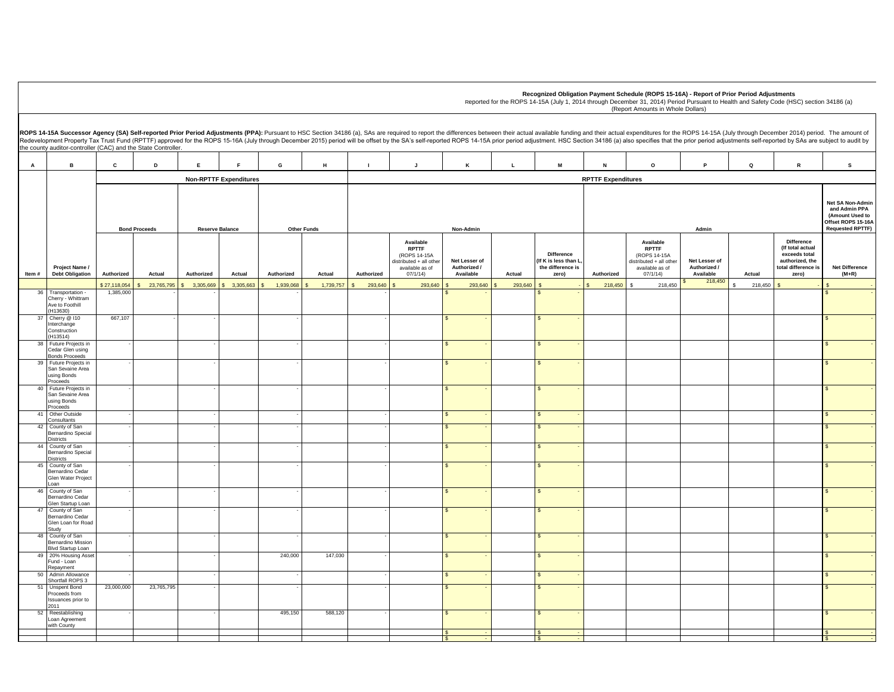|                                                                      |                                                                          |                           |            |            |                               |            |           |                |                                                                                                    |                                            |              |                                                                        |                           | Recognized Obligation Payment Schedule (ROPS 15-16A) - Report of Prior Period Adjustments<br>Reported for the ROPS 14-15A (July 1, 2014 through December 31, 2014) Period Pursuant to Health and Safety Code (HSC) section 34186 (a)<br>(Report Amounts in Whole Dollars)                                                                                                                                                                                        |                                            |              |                                                                                                           |                                  |
|----------------------------------------------------------------------|--------------------------------------------------------------------------|---------------------------|------------|------------|-------------------------------|------------|-----------|----------------|----------------------------------------------------------------------------------------------------|--------------------------------------------|--------------|------------------------------------------------------------------------|---------------------------|------------------------------------------------------------------------------------------------------------------------------------------------------------------------------------------------------------------------------------------------------------------------------------------------------------------------------------------------------------------------------------------------------------------------------------------------------------------|--------------------------------------------|--------------|-----------------------------------------------------------------------------------------------------------|----------------------------------|
|                                                                      | the county auditor-controller (CAC) and the State Controller.            |                           |            |            |                               |            |           |                |                                                                                                    |                                            |              |                                                                        |                           | ROPS 14-15A Successor Agency (SA) Self-reported Prior Period Adjustments (PPA): Pursuant to HSC Section 34186 (a), SAs are required to report the differences between their actual available funding and their actual expendit<br>Redevelopment Property Tax Trust Fund (RPTTF) approved for the ROPS 15-16A (July through December 2015) period will be offset by the SA's self-reported ROPS 14-15A prior period adjustment. HSC Section 34186 (a) also specif |                                            |              |                                                                                                           |                                  |
| $\mathbf{A}$                                                         | в                                                                        | $\mathbf{c}$              | D          | E          |                               | G          | H         | $\blacksquare$ | $\mathbf{J}$                                                                                       | K                                          | $\mathbf{L}$ | M                                                                      | ${\sf N}$                 | $\Omega$                                                                                                                                                                                                                                                                                                                                                                                                                                                         | P                                          | $\mathbf{Q}$ | ${\mathbf R}$                                                                                             | s                                |
|                                                                      |                                                                          |                           |            |            | <b>Non-RPTTF Expenditures</b> |            |           |                |                                                                                                    |                                            |              |                                                                        | <b>RPTTF Expenditures</b> |                                                                                                                                                                                                                                                                                                                                                                                                                                                                  |                                            |              |                                                                                                           |                                  |
| <b>Bond Proceeds</b><br><b>Reserve Balance</b><br><b>Other Funds</b> |                                                                          |                           |            |            |                               | Non-Admin  |           |                |                                                                                                    |                                            |              | Admin                                                                  |                           |                                                                                                                                                                                                                                                                                                                                                                                                                                                                  |                                            |              |                                                                                                           |                                  |
| Item#                                                                | Project Name /<br><b>Debt Obligation</b>                                 | Authorized                | Actual     | Authorized | Actual                        | Authorized | Actual    | Authorized     | Available<br><b>RPTTF</b><br>(ROPS 14-15A<br>distributed + all other<br>available as of<br>07/1/14 | Net Lesser of<br>Authorized /<br>Available | Actual       | <b>Difference</b><br>If K is less than L<br>the difference is<br>zero) | Authorized                | Available<br><b>RPTTF</b><br>(ROPS 14-15A<br>distributed + all other<br>available as of<br>07/1/14                                                                                                                                                                                                                                                                                                                                                               | Net Lesser of<br>Authorized /<br>Available | Actual       | <b>Difference</b><br>(If total actual<br>exceeds total<br>authorized, the<br>total difference is<br>zero) | <b>Net Difference</b><br>$(M+R)$ |
| 36                                                                   | Transportation -                                                         | \$27,118,054<br>1,385,000 | 23,765,795 | 3.305.669  | 3.305.663                     | 1.939.068  | 1,739,757 | 293,640        | 293,640                                                                                            | 293,640                                    | 293.640      |                                                                        | 218,450                   | 218,450                                                                                                                                                                                                                                                                                                                                                                                                                                                          | 218,450                                    | 218,450      |                                                                                                           |                                  |
|                                                                      | Cherry - Whittram<br>Ave to Foothill<br>(H13630)                         |                           |            |            |                               |            |           |                |                                                                                                    |                                            |              |                                                                        |                           |                                                                                                                                                                                                                                                                                                                                                                                                                                                                  |                                            |              |                                                                                                           |                                  |
| 37                                                                   | Cherry @ 110<br>Interchange<br>Construction<br>(H13514)                  | 667,107                   |            |            |                               |            |           |                |                                                                                                    |                                            |              |                                                                        |                           |                                                                                                                                                                                                                                                                                                                                                                                                                                                                  |                                            |              |                                                                                                           |                                  |
| 38                                                                   | Future Projects in<br>Cedar Glen using<br>Bonds Proceeds                 |                           |            |            |                               |            |           |                |                                                                                                    |                                            |              |                                                                        |                           |                                                                                                                                                                                                                                                                                                                                                                                                                                                                  |                                            |              |                                                                                                           |                                  |
| 39                                                                   | Future Projects in<br>San Sevaine Area<br>using Bonds<br><i>Proceeds</i> |                           |            |            |                               |            |           |                |                                                                                                    |                                            |              |                                                                        |                           |                                                                                                                                                                                                                                                                                                                                                                                                                                                                  |                                            |              |                                                                                                           |                                  |
| 40                                                                   | Future Projects in<br>San Sevaine Area<br>using Bonds<br>Proceeds        |                           |            |            |                               |            |           |                |                                                                                                    |                                            |              |                                                                        |                           |                                                                                                                                                                                                                                                                                                                                                                                                                                                                  |                                            |              |                                                                                                           |                                  |
| 41                                                                   | Other Outside<br>Consultants                                             |                           |            |            |                               |            |           |                |                                                                                                    | S                                          |              |                                                                        |                           |                                                                                                                                                                                                                                                                                                                                                                                                                                                                  |                                            |              |                                                                                                           |                                  |
| 42                                                                   | County of San<br>Bernardino Special<br>Districts                         |                           |            |            |                               |            |           |                |                                                                                                    |                                            |              |                                                                        |                           |                                                                                                                                                                                                                                                                                                                                                                                                                                                                  |                                            |              |                                                                                                           |                                  |
|                                                                      | 44 County of San<br>Bernardino Special<br>Districts                      |                           |            |            |                               |            |           |                |                                                                                                    |                                            |              |                                                                        |                           |                                                                                                                                                                                                                                                                                                                                                                                                                                                                  |                                            |              |                                                                                                           |                                  |
| 45                                                                   | County of San<br>Bernardino Cedar<br>Glen Water Project<br>Loan          |                           |            |            |                               |            |           |                |                                                                                                    |                                            |              |                                                                        |                           |                                                                                                                                                                                                                                                                                                                                                                                                                                                                  |                                            |              |                                                                                                           |                                  |
| 46                                                                   | County of San<br>Bernardino Cedar<br>Glen Startup Loan                   |                           |            |            |                               |            |           |                |                                                                                                    |                                            |              |                                                                        |                           |                                                                                                                                                                                                                                                                                                                                                                                                                                                                  |                                            |              |                                                                                                           |                                  |
| 47                                                                   | County of San<br>Bernardino Cedar<br>Glen Loan for Road<br>Study         |                           |            |            |                               |            |           |                |                                                                                                    |                                            |              |                                                                        |                           |                                                                                                                                                                                                                                                                                                                                                                                                                                                                  |                                            |              |                                                                                                           |                                  |
| 48                                                                   | County of San<br>Bernardino Mission<br><b>Blvd Startup Loan</b>          |                           |            |            |                               |            |           |                |                                                                                                    |                                            |              | $\mathcal{L}$                                                          |                           |                                                                                                                                                                                                                                                                                                                                                                                                                                                                  |                                            |              |                                                                                                           |                                  |
|                                                                      | 49 20% Housing Asse<br>Fund - Loan<br>Repayment                          |                           |            |            |                               | 240,000    | 147,030   |                |                                                                                                    |                                            |              |                                                                        |                           |                                                                                                                                                                                                                                                                                                                                                                                                                                                                  |                                            |              |                                                                                                           |                                  |
| 50                                                                   | Admin Allowance<br>Shortfall ROPS 3                                      |                           |            |            |                               |            |           |                |                                                                                                    |                                            |              |                                                                        |                           |                                                                                                                                                                                                                                                                                                                                                                                                                                                                  |                                            |              |                                                                                                           |                                  |
| 51                                                                   | <b>Unspent Bond</b><br>Proceeds from<br>Issuances prior to<br>2011       | 23,000,000                | 23,765,795 |            |                               |            |           |                |                                                                                                    |                                            |              |                                                                        |                           |                                                                                                                                                                                                                                                                                                                                                                                                                                                                  |                                            |              |                                                                                                           |                                  |
| 52                                                                   | Reestablishing<br>Loan Agreement<br>with County                          |                           |            |            |                               | 495,150    | 588,120   |                |                                                                                                    |                                            |              |                                                                        |                           |                                                                                                                                                                                                                                                                                                                                                                                                                                                                  |                                            |              |                                                                                                           |                                  |

 \$ - \$ - \$ - \$ - \$ - \$ -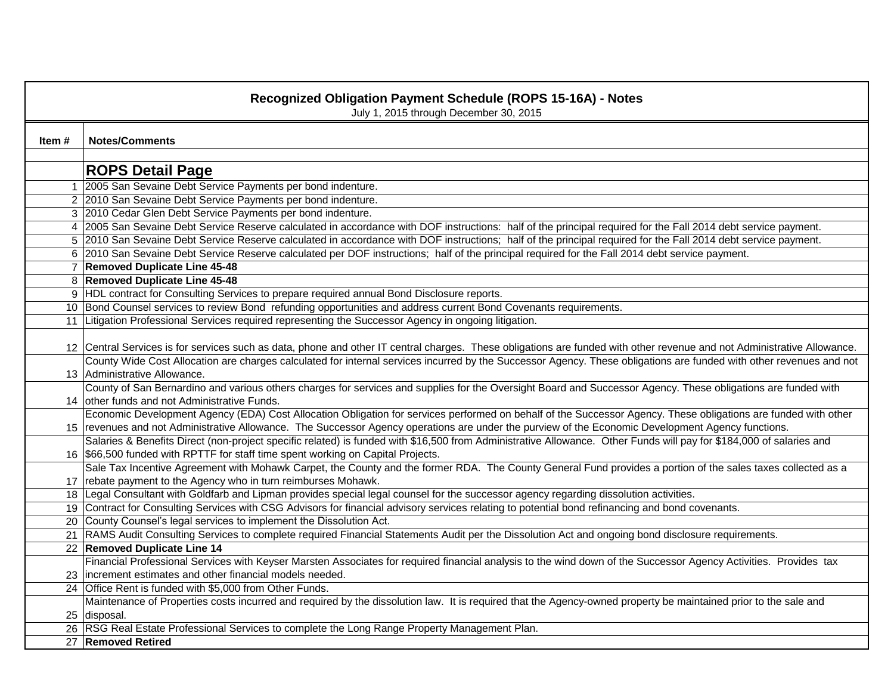|        | <b>Recognized Obligation Payment Schedule (ROPS 15-16A) - Notes</b><br>July 1, 2015 through December 30, 2015                                                           |
|--------|-------------------------------------------------------------------------------------------------------------------------------------------------------------------------|
| Item # | <b>Notes/Comments</b>                                                                                                                                                   |
|        | <b>ROPS Detail Page</b>                                                                                                                                                 |
|        | 1 2005 San Sevaine Debt Service Payments per bond indenture.                                                                                                            |
|        | 2 2010 San Sevaine Debt Service Payments per bond indenture.                                                                                                            |
|        | 3 2010 Cedar Glen Debt Service Payments per bond indenture.                                                                                                             |
|        | 4 2005 San Sevaine Debt Service Reserve calculated in accordance with DOF instructions: half of the principal required for the Fall 2014 debt service payment.          |
|        | 5 2010 San Sevaine Debt Service Reserve calculated in accordance with DOF instructions; half of the principal required for the Fall 2014 debt service payment.          |
|        | 6 2010 San Sevaine Debt Service Reserve calculated per DOF instructions; half of the principal required for the Fall 2014 debt service payment.                         |
|        | 7 Removed Duplicate Line 45-48                                                                                                                                          |
|        | 8 Removed Duplicate Line 45-48                                                                                                                                          |
|        | 9 HDL contract for Consulting Services to prepare required annual Bond Disclosure reports.                                                                              |
|        | 10 Bond Counsel services to review Bond refunding opportunities and address current Bond Covenants requirements.                                                        |
|        | 11 Litigation Professional Services required representing the Successor Agency in ongoing litigation.                                                                   |
|        | 12 Central Services is for services such as data, phone and other IT central charges. These obligations are funded with other revenue and not Administrative Allowance. |
|        | County Wide Cost Allocation are charges calculated for internal services incurred by the Successor Agency. These obligations are funded with other revenues and not     |
|        | 13 Administrative Allowance.                                                                                                                                            |
|        | County of San Bernardino and various others charges for services and supplies for the Oversight Board and Successor Agency. These obligations are funded with           |
|        | 14 other funds and not Administrative Funds.                                                                                                                            |
|        | Economic Development Agency (EDA) Cost Allocation Obligation for services performed on behalf of the Successor Agency. These obligations are funded with other          |
|        | 15 revenues and not Administrative Allowance. The Successor Agency operations are under the purview of the Economic Development Agency functions.                       |
|        | Salaries & Benefits Direct (non-project specific related) is funded with \$16,500 from Administrative Allowance. Other Funds will pay for \$184,000 of salaries and     |
|        | 16 \$66,500 funded with RPTTF for staff time spent working on Capital Projects.                                                                                         |
|        | Sale Tax Incentive Agreement with Mohawk Carpet, the County and the former RDA. The County General Fund provides a portion of the sales taxes collected as a            |
|        | 17 rebate payment to the Agency who in turn reimburses Mohawk.                                                                                                          |
|        | 18 Legal Consultant with Goldfarb and Lipman provides special legal counsel for the successor agency regarding dissolution activities.                                  |
|        | 19 Contract for Consulting Services with CSG Advisors for financial advisory services relating to potential bond refinancing and bond covenants.                        |
|        | 20 County Counsel's legal services to implement the Dissolution Act.                                                                                                    |
|        | 21 RAMS Audit Consulting Services to complete required Financial Statements Audit per the Dissolution Act and ongoing bond disclosure requirements.                     |
|        | 22 Removed Duplicate Line 14                                                                                                                                            |
|        | Financial Professional Services with Keyser Marsten Associates for required financial analysis to the wind down of the Successor Agency Activities. Provides tax        |
|        | 23 increment estimates and other financial models needed.                                                                                                               |
|        | 24 Office Rent is funded with \$5,000 from Other Funds.                                                                                                                 |
|        | Maintenance of Properties costs incurred and required by the dissolution law. It is required that the Agency-owned property be maintained prior to the sale and         |
|        | 25 disposal.                                                                                                                                                            |
|        | 26 RSG Real Estate Professional Services to complete the Long Range Property Management Plan.                                                                           |
|        | 27 Removed Retired                                                                                                                                                      |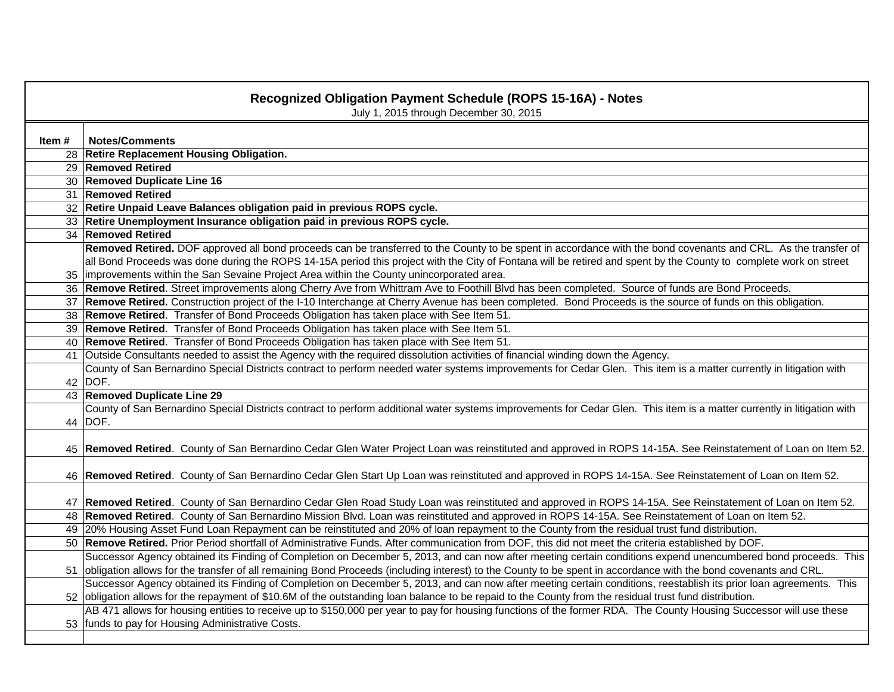|       | <b>Recognized Obligation Payment Schedule (ROPS 15-16A) - Notes</b><br>July 1, 2015 through December 30, 2015                                                                    |
|-------|----------------------------------------------------------------------------------------------------------------------------------------------------------------------------------|
|       |                                                                                                                                                                                  |
| Item# | <b>Notes/Comments</b>                                                                                                                                                            |
|       | 28 Retire Replacement Housing Obligation.                                                                                                                                        |
|       | 29 Removed Retired                                                                                                                                                               |
|       | 30 Removed Duplicate Line 16                                                                                                                                                     |
|       | 31 Removed Retired                                                                                                                                                               |
|       | 32 Retire Unpaid Leave Balances obligation paid in previous ROPS cycle.                                                                                                          |
|       | 33 Retire Unemployment Insurance obligation paid in previous ROPS cycle.                                                                                                         |
|       | 34 Removed Retired                                                                                                                                                               |
|       | Removed Retired. DOF approved all bond proceeds can be transferred to the County to be spent in accordance with the bond covenants and CRL. As the transfer of                   |
|       | all Bond Proceeds was done during the ROPS 14-15A period this project with the City of Fontana will be retired and spent by the County to complete work on street                |
|       | 35   improvements within the San Sevaine Project Area within the County unincorporated area.                                                                                     |
|       | 36 Remove Retired. Street improvements along Cherry Ave from Whittram Ave to Foothill Blvd has been completed. Source of funds are Bond Proceeds.                                |
|       | 37 Remove Retired. Construction project of the I-10 Interchange at Cherry Avenue has been completed. Bond Proceeds is the source of funds on this obligation.                    |
|       | 38 Remove Retired. Transfer of Bond Proceeds Obligation has taken place with See Item 51.                                                                                        |
|       | 39 Remove Retired. Transfer of Bond Proceeds Obligation has taken place with See Item 51.                                                                                        |
|       | 40 Remove Retired. Transfer of Bond Proceeds Obligation has taken place with See Item 51.                                                                                        |
|       | 41 Outside Consultants needed to assist the Agency with the required dissolution activities of financial winding down the Agency.                                                |
|       | County of San Bernardino Special Districts contract to perform needed water systems improvements for Cedar Glen. This item is a matter currently in litigation with<br>42 $DOF.$ |
|       | 43 Removed Duplicate Line 29                                                                                                                                                     |
|       | County of San Bernardino Special Districts contract to perform additional water systems improvements for Cedar Glen. This item is a matter currently in litigation with          |
|       | 44 DOF.                                                                                                                                                                          |
|       |                                                                                                                                                                                  |
|       | 45  Removed Retired. County of San Bernardino Cedar Glen Water Project Loan was reinstituted and approved in ROPS 14-15A. See Reinstatement of Loan on Item 52.                  |
|       |                                                                                                                                                                                  |
|       | 46 Removed Retired. County of San Bernardino Cedar Glen Start Up Loan was reinstituted and approved in ROPS 14-15A. See Reinstatement of Loan on Item 52.                        |
|       |                                                                                                                                                                                  |
|       | 47 Removed Retired. County of San Bernardino Cedar Glen Road Study Loan was reinstituted and approved in ROPS 14-15A. See Reinstatement of Loan on Item 52.                      |
|       | 48 Removed Retired. County of San Bernardino Mission Blvd. Loan was reinstituted and approved in ROPS 14-15A. See Reinstatement of Loan on Item 52.                              |
|       | 49 20% Housing Asset Fund Loan Repayment can be reinstituted and 20% of loan repayment to the County from the residual trust fund distribution.                                  |
|       | 50 Remove Retired. Prior Period shortfall of Administrative Funds. After communication from DOF, this did not meet the criteria established by DOF.                              |
|       | Successor Agency obtained its Finding of Completion on December 5, 2013, and can now after meeting certain conditions expend unencumbered bond proceeds. This                    |
|       | 51 obligation allows for the transfer of all remaining Bond Proceeds (including interest) to the County to be spent in accordance with the bond covenants and CRL.               |
|       | Successor Agency obtained its Finding of Completion on December 5, 2013, and can now after meeting certain conditions, reestablish its prior loan agreements. This               |
|       | 52 obligation allows for the repayment of \$10.6M of the outstanding loan balance to be repaid to the County from the residual trust fund distribution.                          |
|       | AB 471 allows for housing entities to receive up to \$150,000 per year to pay for housing functions of the former RDA. The County Housing Successor will use these               |
|       | 53   funds to pay for Housing Administrative Costs.                                                                                                                              |
|       |                                                                                                                                                                                  |